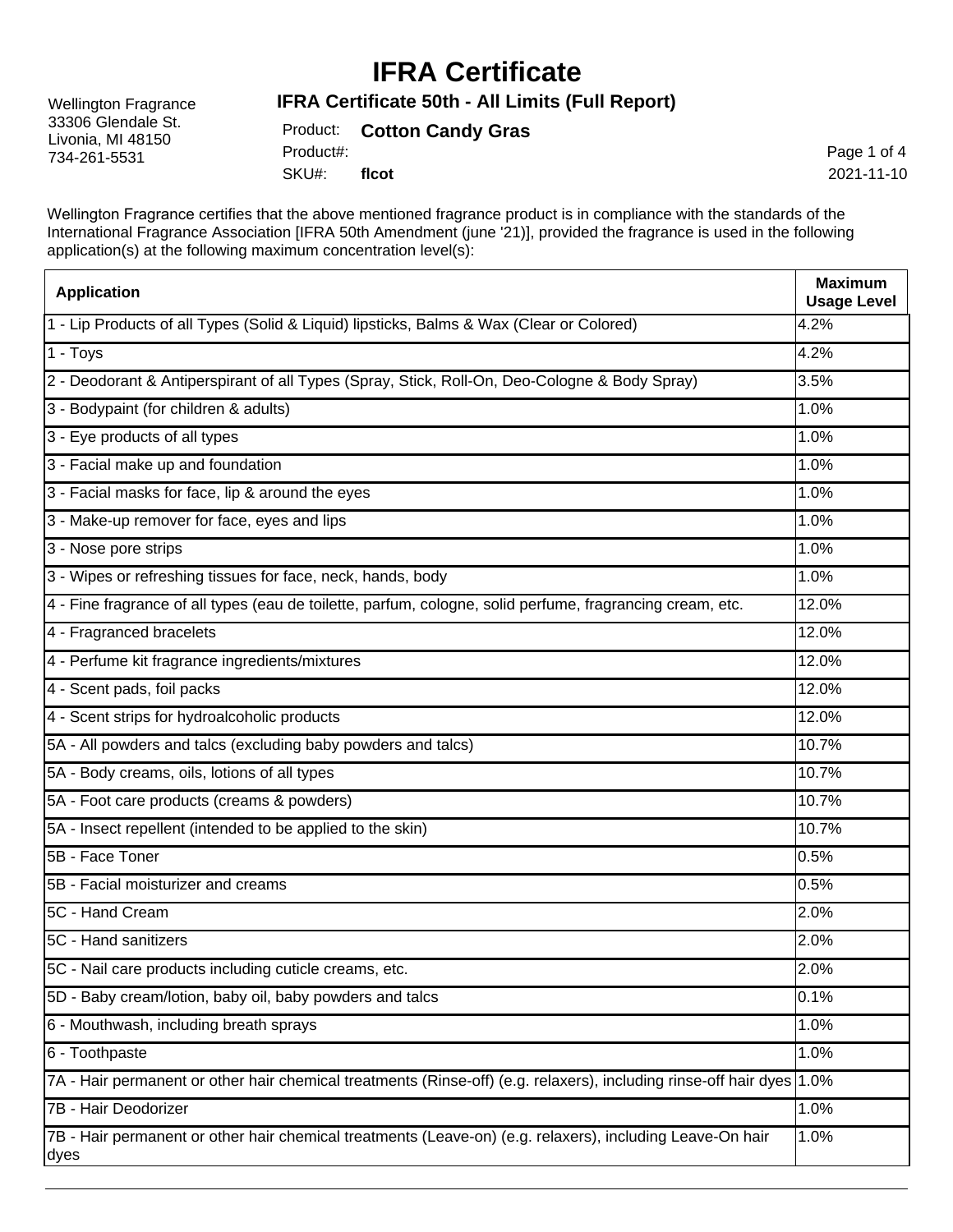#### **IFRA Certificate 50th - All Limits (Full Report)**

| <b>Wellington Fragrance</b>                                                                                           |           | IFRA Certificate 50th - All Limits (Full Report)                                                                                                                                                                                              |                                      |  |
|-----------------------------------------------------------------------------------------------------------------------|-----------|-----------------------------------------------------------------------------------------------------------------------------------------------------------------------------------------------------------------------------------------------|--------------------------------------|--|
| 33306 Glendale St.<br>Livonia, MI 48150                                                                               | Product:  | <b>Cotton Candy Gras</b>                                                                                                                                                                                                                      |                                      |  |
| 734-261-5531                                                                                                          | Product#: |                                                                                                                                                                                                                                               | Page 1 of 4                          |  |
|                                                                                                                       | SKU#:     | flcot                                                                                                                                                                                                                                         | 2021-11-10                           |  |
| application(s) at the following maximum concentration level(s):                                                       |           | Wellington Fragrance certifies that the above mentioned fragrance product is in compliance with the standards of the<br>International Fragrance Association [IFRA 50th Amendment (june '21)], provided the fragrance is used in the following |                                      |  |
| <b>Application</b>                                                                                                    |           |                                                                                                                                                                                                                                               | <b>Maximum</b><br><b>Usage Level</b> |  |
|                                                                                                                       |           | 1 - Lip Products of all Types (Solid & Liquid) lipsticks, Balms & Wax (Clear or Colored)                                                                                                                                                      | 4.2%                                 |  |
| 1 - Toys                                                                                                              |           |                                                                                                                                                                                                                                               | 4.2%                                 |  |
| 2 - Deodorant & Antiperspirant of all Types (Spray, Stick, Roll-On, Deo-Cologne & Body Spray)                         |           |                                                                                                                                                                                                                                               | 3.5%                                 |  |
| 3 - Bodypaint (for children & adults)                                                                                 |           |                                                                                                                                                                                                                                               | 1.0%                                 |  |
| 3 - Eye products of all types                                                                                         |           |                                                                                                                                                                                                                                               | 1.0%                                 |  |
| 3 - Facial make up and foundation                                                                                     |           |                                                                                                                                                                                                                                               | 1.0%                                 |  |
| 3 - Facial masks for face, lip & around the eyes                                                                      |           |                                                                                                                                                                                                                                               |                                      |  |
| 3 - Make-up remover for face, eyes and lips                                                                           |           |                                                                                                                                                                                                                                               | 1.0%                                 |  |
| 3 - Nose pore strips                                                                                                  |           |                                                                                                                                                                                                                                               |                                      |  |
| 3 - Wipes or refreshing tissues for face, neck, hands, body                                                           |           |                                                                                                                                                                                                                                               |                                      |  |
| 4 - Fine fragrance of all types (eau de toilette, parfum, cologne, solid perfume, fragrancing cream, etc.             |           |                                                                                                                                                                                                                                               | 12.0%                                |  |
| 4 - Fragranced bracelets                                                                                              |           |                                                                                                                                                                                                                                               | 12.0%                                |  |
| 4 - Perfume kit fragrance ingredients/mixtures                                                                        |           |                                                                                                                                                                                                                                               | 12.0%                                |  |
| 4 - Scent pads, foil packs                                                                                            |           |                                                                                                                                                                                                                                               | 12.0%                                |  |
| 4 - Scent strips for hydroalcoholic products                                                                          |           |                                                                                                                                                                                                                                               |                                      |  |
| 5A - All powders and talcs (excluding baby powders and talcs)                                                         |           |                                                                                                                                                                                                                                               | 10.7%                                |  |
| 5A - Body creams, oils, lotions of all types                                                                          |           |                                                                                                                                                                                                                                               | 10.7%                                |  |
| 5A - Foot care products (creams & powders)                                                                            |           |                                                                                                                                                                                                                                               | 10.7%                                |  |
| 5A - Insect repellent (intended to be applied to the skin)                                                            |           |                                                                                                                                                                                                                                               | 10.7%                                |  |
| 5B - Face Toner                                                                                                       |           |                                                                                                                                                                                                                                               | 0.5%                                 |  |
| 5B - Facial moisturizer and creams                                                                                    |           |                                                                                                                                                                                                                                               | 0.5%                                 |  |
| 5C - Hand Cream                                                                                                       |           |                                                                                                                                                                                                                                               | 2.0%                                 |  |
| 5C - Hand sanitizers                                                                                                  |           |                                                                                                                                                                                                                                               | 2.0%                                 |  |
| 5C - Nail care products including cuticle creams, etc.                                                                |           |                                                                                                                                                                                                                                               | 2.0%                                 |  |
| 5D - Baby cream/lotion, baby oil, baby powders and talcs                                                              |           |                                                                                                                                                                                                                                               | 0.1%                                 |  |
| 6 - Mouthwash, including breath sprays                                                                                |           |                                                                                                                                                                                                                                               | 1.0%                                 |  |
| 6 - Toothpaste                                                                                                        |           |                                                                                                                                                                                                                                               |                                      |  |
| 7A - Hair permanent or other hair chemical treatments (Rinse-off) (e.g. relaxers), including rinse-off hair dyes 1.0% |           |                                                                                                                                                                                                                                               |                                      |  |
| 7B - Hair Deodorizer                                                                                                  |           |                                                                                                                                                                                                                                               |                                      |  |
| 7B - Hair permanent or other hair chemical treatments (Leave-on) (e.g. relaxers), including Leave-On hair<br>dyes     |           |                                                                                                                                                                                                                                               |                                      |  |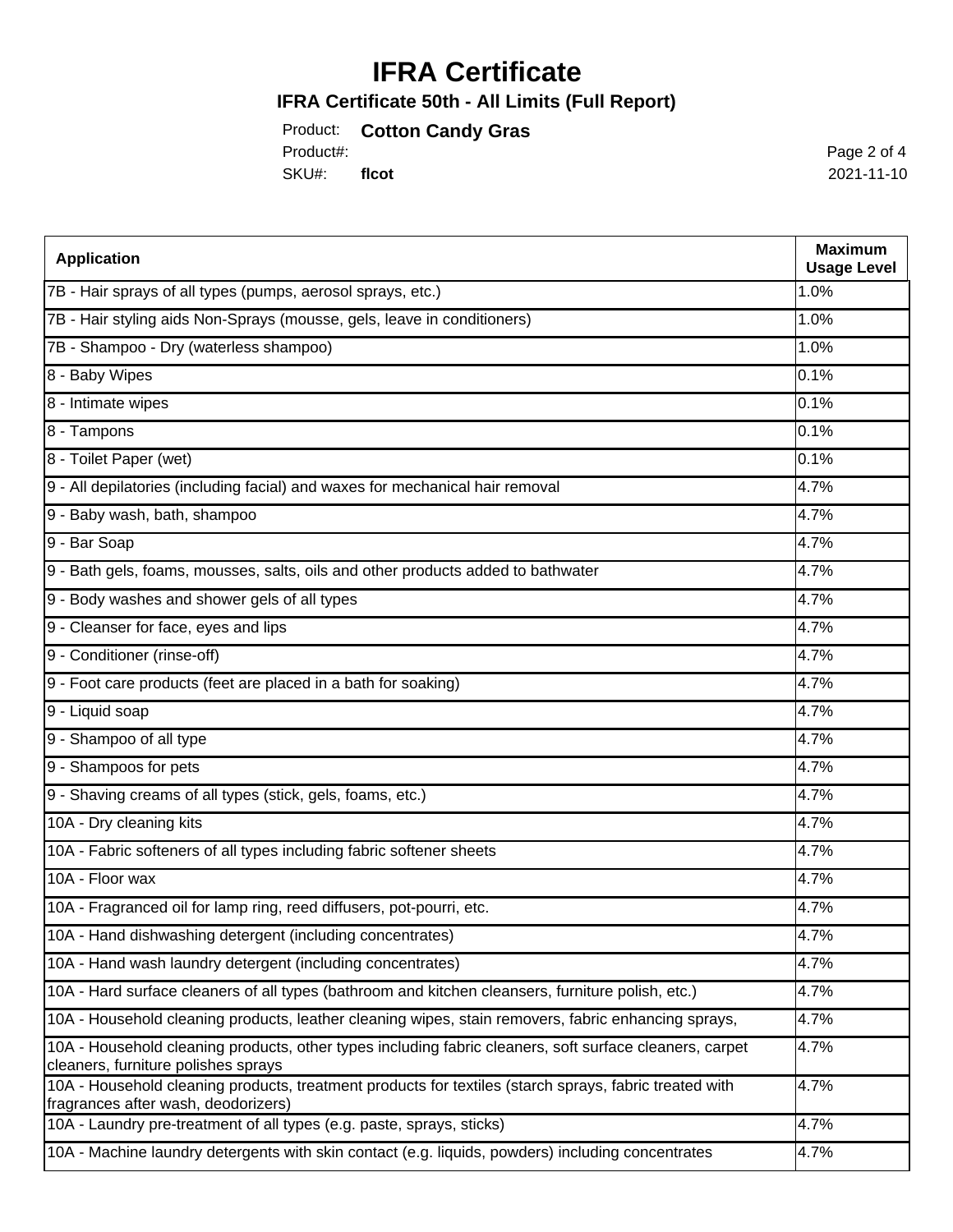### **IFRA Certificate 50th - All Limits (Full Report)**

Product: **Cotton Candy Gras**

Product#:

SKU#: **flcot**

Page 2 of 4 2021-11-10

| <b>Application</b>                                                                                                                             | <b>Maximum</b><br><b>Usage Level</b> |
|------------------------------------------------------------------------------------------------------------------------------------------------|--------------------------------------|
| 7B - Hair sprays of all types (pumps, aerosol sprays, etc.)                                                                                    | 1.0%                                 |
| 7B - Hair styling aids Non-Sprays (mousse, gels, leave in conditioners)                                                                        | 1.0%                                 |
| 7B - Shampoo - Dry (waterless shampoo)                                                                                                         | 1.0%                                 |
| 8 - Baby Wipes                                                                                                                                 | 0.1%                                 |
| 8 - Intimate wipes                                                                                                                             | 0.1%                                 |
| 8 - Tampons                                                                                                                                    | 0.1%                                 |
| 8 - Toilet Paper (wet)                                                                                                                         | 0.1%                                 |
| 9 - All depilatories (including facial) and waxes for mechanical hair removal                                                                  | 4.7%                                 |
| 9 - Baby wash, bath, shampoo                                                                                                                   | 4.7%                                 |
| 9 - Bar Soap                                                                                                                                   | 4.7%                                 |
| 9 - Bath gels, foams, mousses, salts, oils and other products added to bathwater                                                               | 4.7%                                 |
| 9 - Body washes and shower gels of all types                                                                                                   | 4.7%                                 |
| 9 - Cleanser for face, eyes and lips                                                                                                           | 4.7%                                 |
| 9 - Conditioner (rinse-off)                                                                                                                    | 4.7%                                 |
| 9 - Foot care products (feet are placed in a bath for soaking)                                                                                 | 4.7%                                 |
| 9 - Liquid soap                                                                                                                                | 4.7%                                 |
| 9 - Shampoo of all type                                                                                                                        | 4.7%                                 |
| 9 - Shampoos for pets                                                                                                                          | 4.7%                                 |
| 9 - Shaving creams of all types (stick, gels, foams, etc.)                                                                                     | 4.7%                                 |
| 10A - Dry cleaning kits                                                                                                                        | 4.7%                                 |
| 10A - Fabric softeners of all types including fabric softener sheets                                                                           | 4.7%                                 |
| 10A - Floor wax                                                                                                                                | 4.7%                                 |
| 10A - Fragranced oil for lamp ring, reed diffusers, pot-pourri, etc.                                                                           | 4.7%                                 |
| 10A - Hand dishwashing detergent (including concentrates)                                                                                      | 4.7%                                 |
| 10A - Hand wash laundry detergent (including concentrates)                                                                                     | 4.7%                                 |
| 10A - Hard surface cleaners of all types (bathroom and kitchen cleansers, furniture polish, etc.)                                              | $\sqrt{4.7\%}$                       |
| 10A - Household cleaning products, leather cleaning wipes, stain removers, fabric enhancing sprays,                                            | 4.7%                                 |
| 10A - Household cleaning products, other types including fabric cleaners, soft surface cleaners, carpet<br>cleaners, furniture polishes sprays | 4.7%                                 |
| 10A - Household cleaning products, treatment products for textiles (starch sprays, fabric treated with<br>fragrances after wash, deodorizers)  | 4.7%                                 |
| 10A - Laundry pre-treatment of all types (e.g. paste, sprays, sticks)                                                                          | 4.7%                                 |
| 10A - Machine laundry detergents with skin contact (e.g. liquids, powders) including concentrates                                              | 4.7%                                 |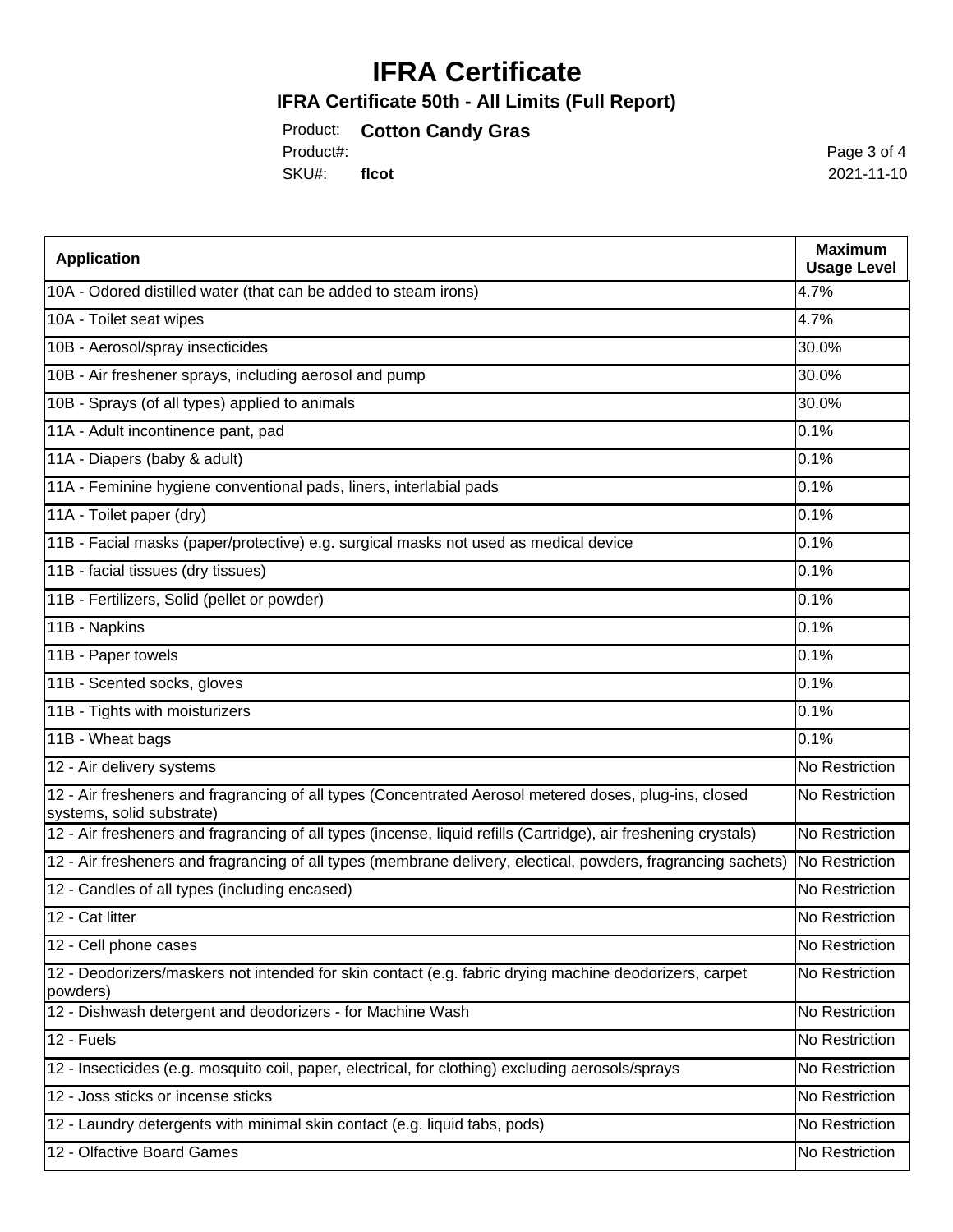### **IFRA Certificate 50th - All Limits (Full Report)**

Product: **Cotton Candy Gras**

Product#:

SKU#: **flcot**

Page 3 of 4 2021-11-10

| <b>Application</b>                                                                                                                  | <b>Maximum</b><br><b>Usage Level</b> |
|-------------------------------------------------------------------------------------------------------------------------------------|--------------------------------------|
| 10A - Odored distilled water (that can be added to steam irons)                                                                     | 4.7%                                 |
| 10A - Toilet seat wipes                                                                                                             | 4.7%                                 |
| 10B - Aerosol/spray insecticides                                                                                                    | 30.0%                                |
| 10B - Air freshener sprays, including aerosol and pump                                                                              | 30.0%                                |
| 10B - Sprays (of all types) applied to animals                                                                                      | 30.0%                                |
| 11A - Adult incontinence pant, pad                                                                                                  | 0.1%                                 |
| 11A - Diapers (baby & adult)                                                                                                        | $0.1\%$                              |
| 11A - Feminine hygiene conventional pads, liners, interlabial pads                                                                  | 0.1%                                 |
| 11A - Toilet paper (dry)                                                                                                            | 0.1%                                 |
| 11B - Facial masks (paper/protective) e.g. surgical masks not used as medical device                                                | 0.1%                                 |
| 11B - facial tissues (dry tissues)                                                                                                  | 0.1%                                 |
| 11B - Fertilizers, Solid (pellet or powder)                                                                                         | 0.1%                                 |
| 11B - Napkins                                                                                                                       | 0.1%                                 |
| 11B - Paper towels                                                                                                                  | 0.1%                                 |
| 11B - Scented socks, gloves                                                                                                         | 0.1%                                 |
| 11B - Tights with moisturizers                                                                                                      | 0.1%                                 |
| 11B - Wheat bags                                                                                                                    | 0.1%                                 |
| 12 - Air delivery systems                                                                                                           | No Restriction                       |
| 12 - Air fresheners and fragrancing of all types (Concentrated Aerosol metered doses, plug-ins, closed<br>systems, solid substrate) | No Restriction                       |
| 12 - Air fresheners and fragrancing of all types (incense, liquid refills (Cartridge), air freshening crystals)                     | No Restriction                       |
| 12 - Air fresheners and fragrancing of all types (membrane delivery, electical, powders, fragrancing sachets)                       | No Restriction                       |
| 12 - Candles of all types (including encased)                                                                                       | No Restriction                       |
| 12 - Cat litter                                                                                                                     | No Restriction                       |
| 12 - Cell phone cases                                                                                                               | No Restriction                       |
| 12 - Deodorizers/maskers not intended for skin contact (e.g. fabric drying machine deodorizers, carpet<br>powders)                  | No Restriction                       |
| 12 - Dishwash detergent and deodorizers - for Machine Wash                                                                          | No Restriction                       |
| 12 - Fuels                                                                                                                          | No Restriction                       |
| 12 - Insecticides (e.g. mosquito coil, paper, electrical, for clothing) excluding aerosols/sprays                                   | No Restriction                       |
| 12 - Joss sticks or incense sticks                                                                                                  | No Restriction                       |
| 12 - Laundry detergents with minimal skin contact (e.g. liquid tabs, pods)                                                          | No Restriction                       |
| 12 - Olfactive Board Games                                                                                                          | No Restriction                       |